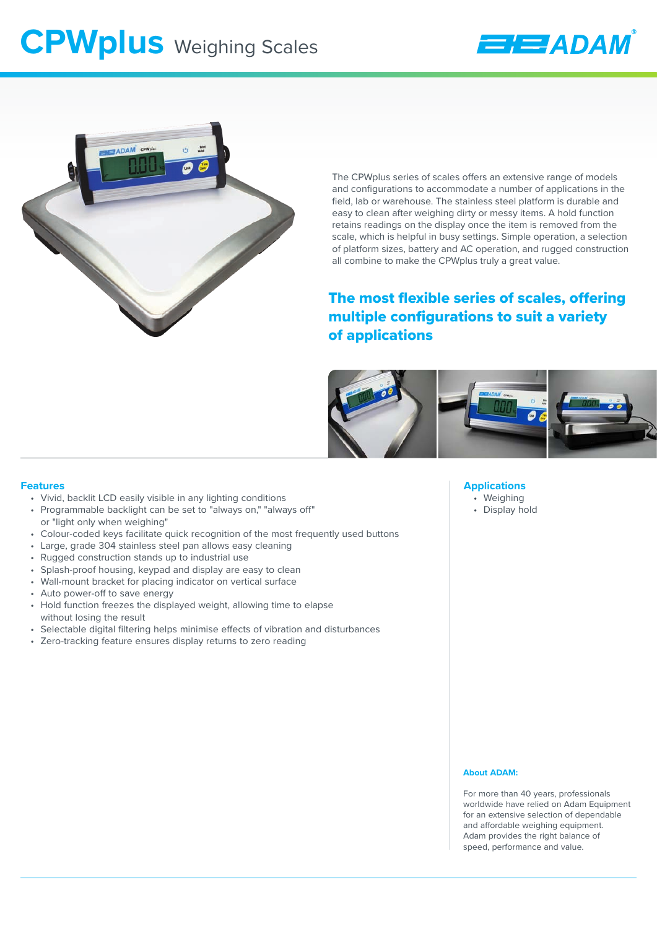# **CPWplus** Weighing Scales





The CPWplus series of scales offers an extensive range of models and configurations to accommodate a number of applications in the field, lab or warehouse. The stainless steel platform is durable and easy to clean after weighing dirty or messy items. A hold function retains readings on the display once the item is removed from the scale, which is helpful in busy settings. Simple operation, a selection of platform sizes, battery and AC operation, and rugged construction all combine to make the CPWplus truly a great value.

## The most flexible series of scales, offering multiple configurations to suit a variety of applications



## **Features**

- Vivid, backlit LCD easily visible in any lighting conditions
- Programmable backlight can be set to "always on," "always off" or "light only when weighing"
- Colour-coded keys facilitate quick recognition of the most frequently used buttons
- Large, grade 304 stainless steel pan allows easy cleaning
- Rugged construction stands up to industrial use
- Splash-proof housing, keypad and display are easy to clean
- Wall-mount bracket for placing indicator on vertical surface
- Auto power-off to save energy
- Hold function freezes the displayed weight, allowing time to elapse without losing the result
- Selectable digital filtering helps minimise effects of vibration and disturbances
- Zero-tracking feature ensures display returns to zero reading

### **Applications**

- Weighing
- Display hold

#### **About ADAM:**

For more than 40 years, professionals worldwide have relied on Adam Equipment for an extensive selection of dependable and affordable weighing equipment. Adam provides the right balance of speed, performance and value.